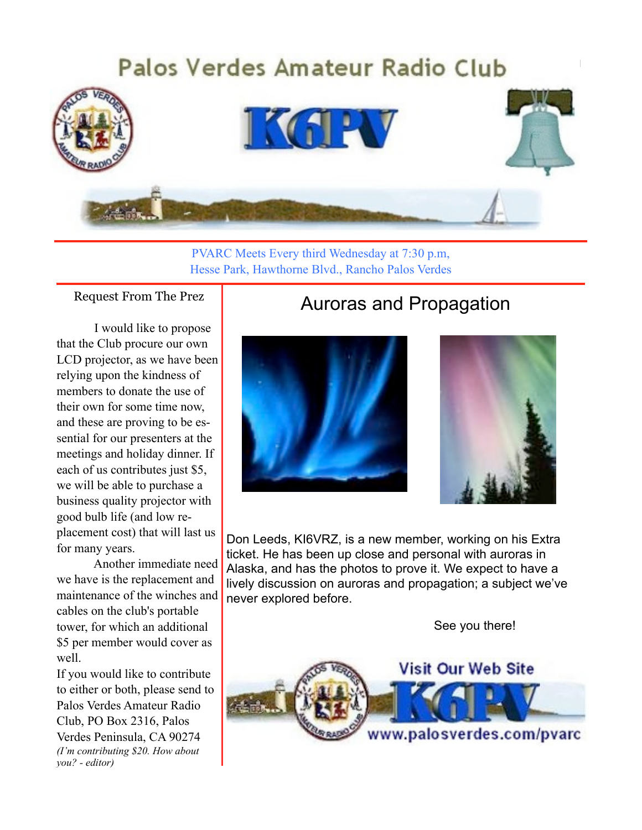

PVARC Meets Every third Wednesday at 7:30 p.m, Hesse Park, Hawthorne Blvd., Rancho Palos Verdes

Request From The Prez

I would like to propose that the Club procure our own LCD projector, as we have been relying upon the kindness of members to donate the use of their own for some time now, and these are proving to be essential for our presenters at the meetings and holiday dinner. If each of us contributes just \$5, we will be able to purchase a business quality projector with good bulb life (and low replacement cost) that will last us for many years.

Another immediate need we have is the replacement and maintenance of the winches and cables on the club's portable tower, for which an additional \$5 per member would cover as well.

If you would like to contribute to either or both, please send to Palos Verdes Amateur Radio Club, PO Box 2316, Palos Verdes Peninsula, CA 90274 *(I'm contributing \$20. How about you? - editor)*

#### j Auroras and Propagation





Don Leeds, KI6VRZ, is a new member, working on his Extra ticket. He has been up close and personal with auroras in Alaska, and has the photos to prove it. We expect to have a lively discussion on auroras and propagation; a subject we've never explored before.

See you there!

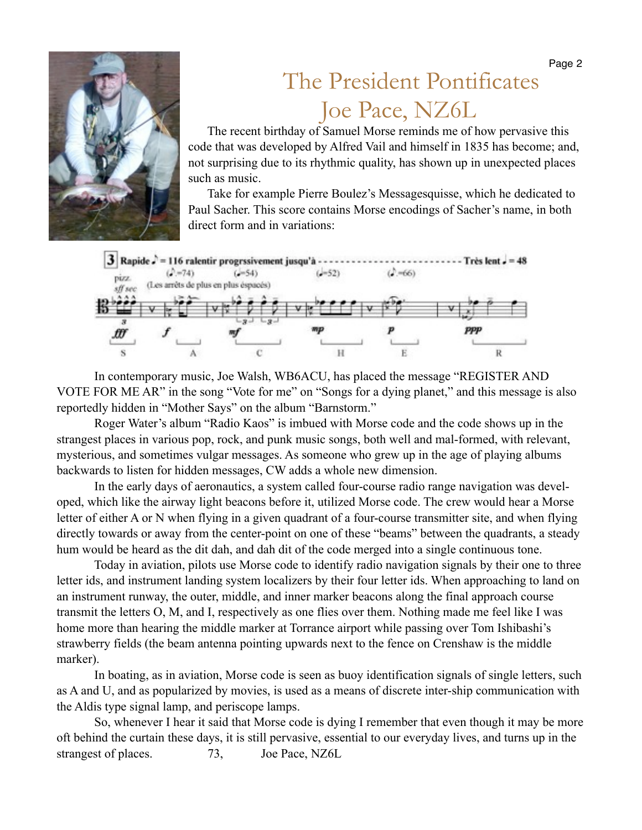

# The President Pontificates Joe Pace, NZ6L

The recent birthday of Samuel Morse reminds me of how pervasive this code that was developed by Alfred Vail and himself in 1835 has become; and, not surprising due to its rhythmic quality, has shown up in unexpected places such as music.

Take for example Pierre Boulez's Messagesquisse, which he dedicated to Paul Sacher. This score contains Morse encodings of Sacher's name, in both direct form and in variations:



In contemporary music, Joe Walsh, WB6ACU, has placed the message "REGISTER AND VOTE FOR ME AR" in the song "Vote for me" on "Songs for a dying planet," and this message is also reportedly hidden in "Mother Says" on the album "Barnstorm."

Roger Water's album "Radio Kaos" is imbued with Morse code and the code shows up in the strangest places in various pop, rock, and punk music songs, both well and mal-formed, with relevant, mysterious, and sometimes vulgar messages. As someone who grew up in the age of playing albums backwards to listen for hidden messages, CW adds a whole new dimension.

In the early days of aeronautics, a system called four-course radio range navigation was developed, which like the airway light beacons before it, utilized Morse code. The crew would hear a Morse letter of either A or N when flying in a given quadrant of a four-course transmitter site, and when flying directly towards or away from the center-point on one of these "beams" between the quadrants, a steady hum would be heard as the dit dah, and dah dit of the code merged into a single continuous tone.

Today in aviation, pilots use Morse code to identify radio navigation signals by their one to three letter ids, and instrument landing system localizers by their four letter ids. When approaching to land on an instrument runway, the outer, middle, and inner marker beacons along the final approach course transmit the letters O, M, and I, respectively as one flies over them. Nothing made me feel like I was home more than hearing the middle marker at Torrance airport while passing over Tom Ishibashi's strawberry fields (the beam antenna pointing upwards next to the fence on Crenshaw is the middle marker).

In boating, as in aviation, Morse code is seen as buoy identification signals of single letters, such as A and U, and as popularized by movies, is used as a means of discrete inter-ship communication with the Aldis type signal lamp, and periscope lamps.

So, whenever I hear it said that Morse code is dying I remember that even though it may be more oft behind the curtain these days, it is still pervasive, essential to our everyday lives, and turns up in the strangest of places. 73, Joe Pace, NZ6L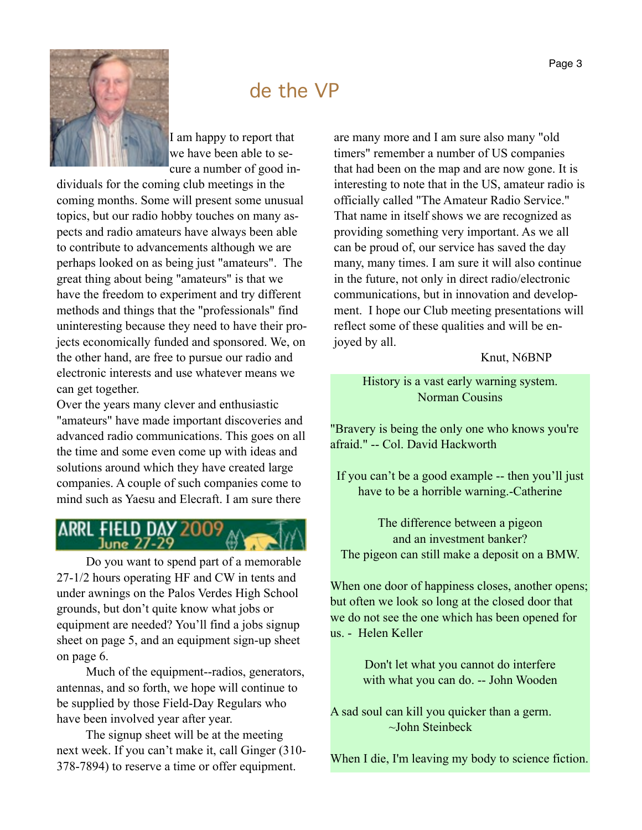

### de the VP

I am happy to report that we have been able to secure a number of good in-

dividuals for the coming club meetings in the coming months. Some will present some unusual topics, but our radio hobby touches on many aspects and radio amateurs have always been able to contribute to advancements although we are perhaps looked on as being just "amateurs". The great thing about being "amateurs" is that we have the freedom to experiment and try different methods and things that the "professionals" find uninteresting because they need to have their projects economically funded and sponsored. We, on the other hand, are free to pursue our radio and electronic interests and use whatever means we can get together.

Over the years many clever and enthusiastic "amateurs" have made important discoveries and advanced radio communications. This goes on all the time and some even come up with ideas and solutions around which they have created large companies. A couple of such companies come to mind such as Yaesu and Elecraft. I am sure there

# ARRL FIELD DAY

Do you want to spend part of a memorable 27-1/2 hours operating HF and CW in tents and under awnings on the Palos Verdes High School grounds, but don't quite know what jobs or equipment are needed? You'll find a jobs signup sheet on page 5, and an equipment sign-up sheet on page 6.

Much of the equipment--radios, generators, antennas, and so forth, we hope will continue to be supplied by those Field-Day Regulars who have been involved year after year.

The signup sheet will be at the meeting next week. If you can't make it, call Ginger (310- 378-7894) to reserve a time or offer equipment.

are many more and I am sure also many "old timers" remember a number of US companies that had been on the map and are now gone. It is interesting to note that in the US, amateur radio is officially called "The Amateur Radio Service." That name in itself shows we are recognized as providing something very important. As we all can be proud of, our service has saved the day many, many times. I am sure it will also continue in the future, not only in direct radio/electronic communications, but in innovation and development. I hope our Club meeting presentations will reflect some of these qualities and will be enjoyed by all.

#### Knut, N6BNP

History is a vast early warning system. Norman Cousins

"Bravery is being the only one who knows you're afraid." -- Col. David Hackworth

If you can't be a good example -- then you'll just have to be a horrible warning.-Catherine

The difference between a pigeon and an investment banker? The pigeon can still make a deposit on a BMW.

When one door of happiness closes, another opens; but often we look so long at the closed door that we do not see the one which has been opened for us. - Helen Keller

> Don't let what you cannot do interfere with what you can do. -- John Wooden

A sad soul can kill you quicker than a germ. ~John Steinbeck

When I die, I'm leaving my body to science fiction.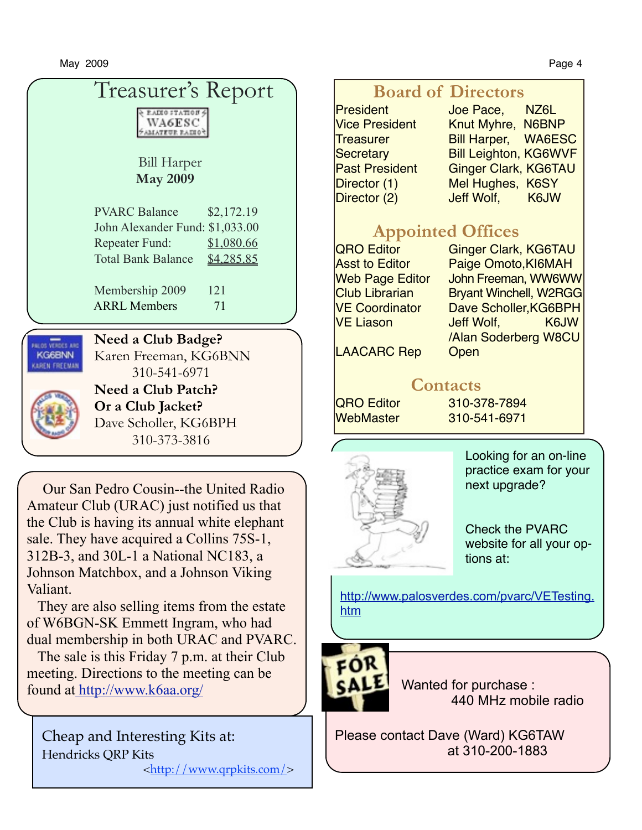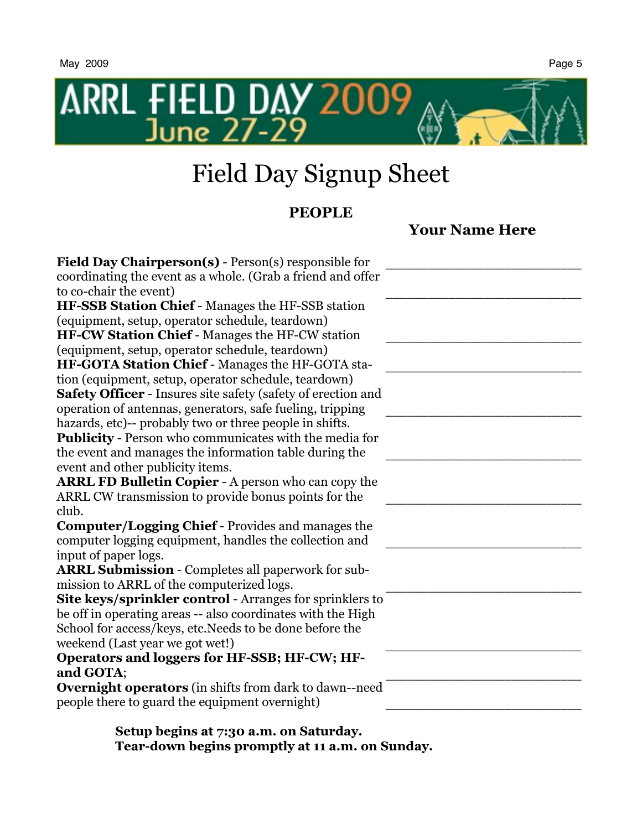

# Field Day Signup Sheet

### **PEOPLE**

### **Your Name Here**

| <b>Field Day Chairperson(s)</b> - Person(s) responsible for<br>coordinating the event as a whole. (Grab a friend and offer<br>to co-chair the event) |  |
|------------------------------------------------------------------------------------------------------------------------------------------------------|--|
| HF-SSB Station Chief - Manages the HF-SSB station                                                                                                    |  |
| (equipment, setup, operator schedule, teardown)                                                                                                      |  |
| <b>HF-CW Station Chief - Manages the HF-CW station</b>                                                                                               |  |
| (equipment, setup, operator schedule, teardown)                                                                                                      |  |
| HF-GOTA Station Chief - Manages the HF-GOTA sta-                                                                                                     |  |
| tion (equipment, setup, operator schedule, teardown)                                                                                                 |  |
| <b>Safety Officer</b> - Insures site safety (safety of erection and                                                                                  |  |
| operation of antennas, generators, safe fueling, tripping                                                                                            |  |
| hazards, etc)-- probably two or three people in shifts.                                                                                              |  |
| Publicity - Person who communicates with the media for                                                                                               |  |
| the event and manages the information table during the                                                                                               |  |
| event and other publicity items.                                                                                                                     |  |
|                                                                                                                                                      |  |
| <b>ARRL FD Bulletin Copier - A person who can copy the</b>                                                                                           |  |
| ARRL CW transmission to provide bonus points for the                                                                                                 |  |
| club.                                                                                                                                                |  |
| <b>Computer/Logging Chief - Provides and manages the</b>                                                                                             |  |
| computer logging equipment, handles the collection and                                                                                               |  |
| input of paper logs.                                                                                                                                 |  |
| <b>ARRL Submission - Completes all paperwork for sub-</b>                                                                                            |  |
| mission to ARRL of the computerized logs.                                                                                                            |  |
| Site keys/sprinkler control - Arranges for sprinklers to                                                                                             |  |
| be off in operating areas -- also coordinates with the High                                                                                          |  |
| School for access/keys, etc. Needs to be done before the                                                                                             |  |
| weekend (Last year we got wet!)                                                                                                                      |  |
| Operators and loggers for HF-SSB; HF-CW; HF-                                                                                                         |  |
| and GOTA;                                                                                                                                            |  |
| <b>Overnight operators</b> (in shifts from dark to dawn--need                                                                                        |  |
| people there to guard the equipment overnight)                                                                                                       |  |
|                                                                                                                                                      |  |

**Setup begins at 7:30 a.m. on Saturday. Tear-down begins promptly at 11 a.m. on Sunday.**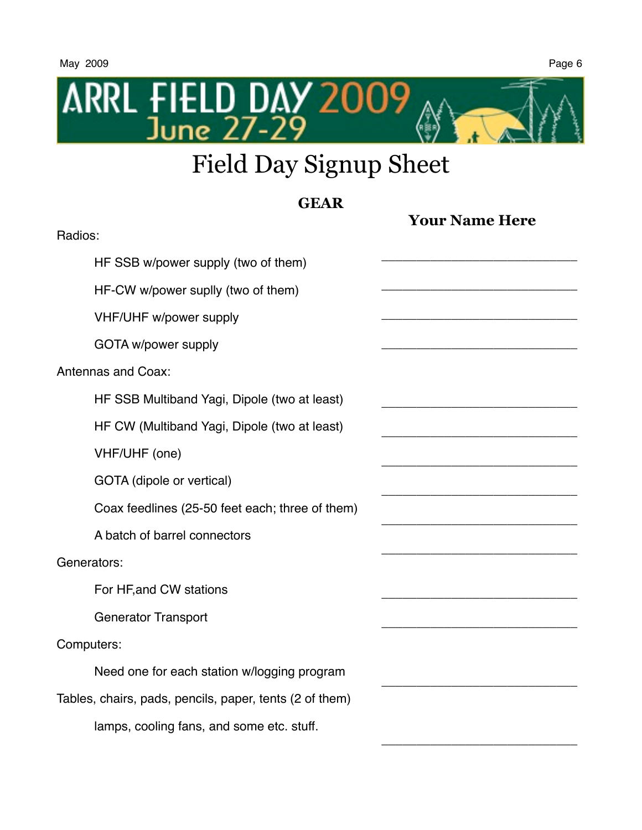

# Field Day Signup Sheet

#### **GEAR Your Name Here** Radios: HF SSB w/power supply (two of them) HF-CW w/power suplly (two of them) VHF/UHF w/power supply GOTA w/power supply Antennas and Coax: HF SSB Multiband Yagi, Dipole (two at least) HF CW (Multiband Yagi, Dipole (two at least) VHF/UHF (one) GOTA (dipole or vertical) Coax feedlines (25-50 feet each; three of them) A batch of barrel connectors Generators: For HF,and CW stations Generator Transport Computers: Need one for each station w/logging program Tables, chairs, pads, pencils, paper, tents (2 of them) lamps, cooling fans, and some etc. stuff. \_\_\_\_\_\_\_\_\_\_\_\_\_\_\_\_\_\_\_\_\_\_\_\_\_\_\_\_ \_\_\_\_\_\_\_\_\_\_\_\_\_\_\_\_\_\_\_\_\_\_\_\_\_\_\_\_ \_\_\_\_\_\_\_\_\_\_\_\_\_\_\_\_\_\_\_\_\_\_\_\_\_\_\_\_ \_\_\_\_\_\_\_\_\_\_\_\_\_\_\_\_\_\_\_\_\_\_\_\_\_\_\_\_ \_\_\_\_\_\_\_\_\_\_\_\_\_\_\_\_\_\_\_\_\_\_\_\_\_\_\_\_ \_\_\_\_\_\_\_\_\_\_\_\_\_\_\_\_\_\_\_\_\_\_\_\_\_\_\_\_ \_\_\_\_\_\_\_\_\_\_\_\_\_\_\_\_\_\_\_\_\_\_\_\_\_\_\_\_ \_\_\_\_\_\_\_\_\_\_\_\_\_\_\_\_\_\_\_\_\_\_\_\_\_\_\_\_ \_\_\_\_\_\_\_\_\_\_\_\_\_\_\_\_\_\_\_\_\_\_\_\_\_\_\_\_ \_\_\_\_\_\_\_\_\_\_\_\_\_\_\_\_\_\_\_\_\_\_\_\_\_\_\_\_ \_\_\_\_\_\_\_\_\_\_\_\_\_\_\_\_\_\_\_\_\_\_\_\_\_\_\_\_ \_\_\_\_\_\_\_\_\_\_\_\_\_\_\_\_\_\_\_\_\_\_\_\_\_\_\_\_ \_\_\_\_\_\_\_\_\_\_\_\_\_\_\_\_\_\_\_\_\_\_\_\_\_\_\_\_

\_\_\_\_\_\_\_\_\_\_\_\_\_\_\_\_\_\_\_\_\_\_\_\_\_\_\_\_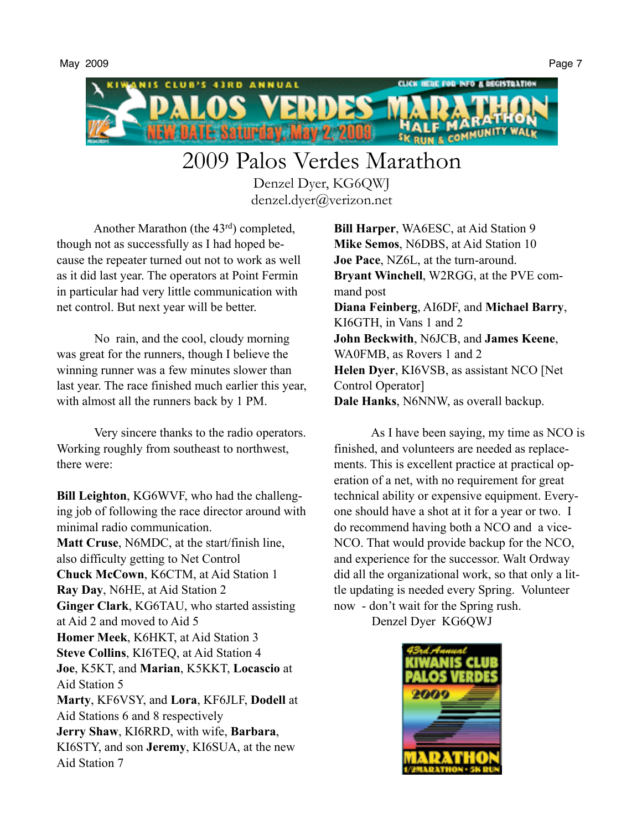

# 2009 Palos Verdes Marathon

Denzel Dyer, KG6QWJ denzel.dyer@verizon.net

Another Marathon (the 43rd) completed, though not as successfully as I had hoped because the repeater turned out not to work as well as it did last year. The operators at Point Fermin in particular had very little communication with net control. But next year will be better.

No rain, and the cool, cloudy morning was great for the runners, though I believe the winning runner was a few minutes slower than last year. The race finished much earlier this year, with almost all the runners back by 1 PM.

Very sincere thanks to the radio operators. Working roughly from southeast to northwest, there were:

**Bill Leighton**, KG6WVF, who had the challenging job of following the race director around with minimal radio communication. **Matt Cruse**, N6MDC, at the start/finish line, also difficulty getting to Net Control **Chuck McCown**, K6CTM, at Aid Station 1 **Ray Day**, N6HE, at Aid Station 2 **Ginger Clark**, KG6TAU, who started assisting at Aid 2 and moved to Aid 5 **Homer Meek**, K6HKT, at Aid Station 3 **Steve Collins**, KI6TEQ, at Aid Station 4 **Joe**, K5KT, and **Marian**, K5KKT, **Locascio** at Aid Station 5 **Marty**, KF6VSY, and **Lora**, KF6JLF, **Dodell** at Aid Stations 6 and 8 respectively **Jerry Shaw**, KI6RRD, with wife, **Barbara**, KI6STY, and son **Jeremy**, KI6SUA, at the new Aid Station 7

**Bill Harper**, WA6ESC, at Aid Station 9 **Mike Semos**, N6DBS, at Aid Station 10 **Joe Pace**, NZ6L, at the turn-around. **Bryant Winchell**, W2RGG, at the PVE command post **Diana Feinberg**, AI6DF, and **Michael Barry**, KI6GTH, in Vans 1 and 2 **John Beckwith**, N6JCB, and **James Keene**, WA0FMB, as Rovers 1 and 2 **Helen Dyer**, KI6VSB, as assistant NCO [Net Control Operator] **Dale Hanks**, N6NNW, as overall backup.

As I have been saying, my time as NCO is finished, and volunteers are needed as replacements. This is excellent practice at practical operation of a net, with no requirement for great technical ability or expensive equipment. Everyone should have a shot at it for a year or two. I do recommend having both a NCO and a vice-NCO. That would provide backup for the NCO, and experience for the successor. Walt Ordway did all the organizational work, so that only a little updating is needed every Spring. Volunteer now - don't wait for the Spring rush.

Denzel Dyer KG6QWJ

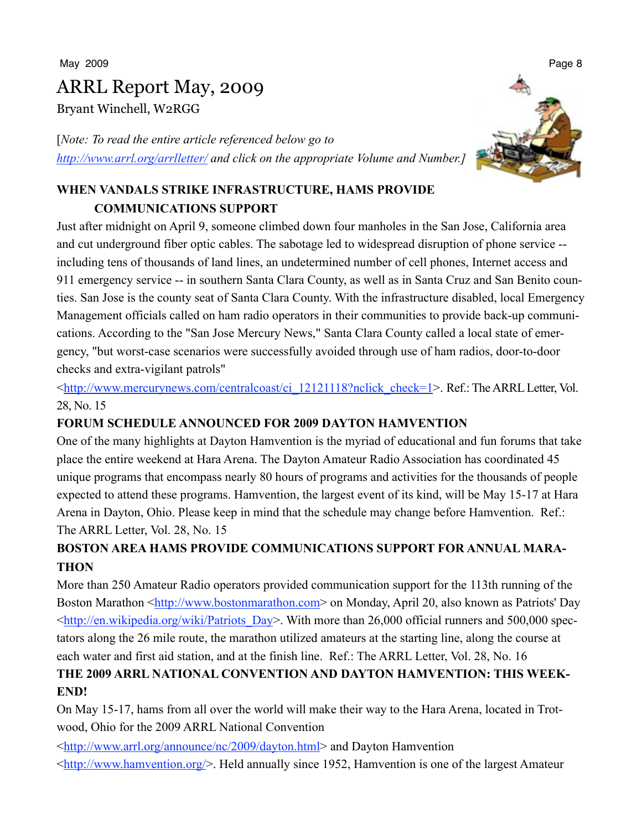May 2009 Page 8

# ARRL Report May, 2009

Bryant Winchell, W2RGG

[*Note: To read the entire article referenced below go to <http://www.arrl.org/arrlletter/> and click on the appropriate Volume and Number.]*

#### **WHEN VANDALS STRIKE INFRASTRUCTURE, HAMS PROVIDE COMMUNICATIONS SUPPORT**

Just after midnight on April 9, someone climbed down four manholes in the San Jose, California area and cut underground fiber optic cables. The sabotage led to widespread disruption of phone service - including tens of thousands of land lines, an undetermined number of cell phones, Internet access and 911 emergency service -- in southern Santa Clara County, as well as in Santa Cruz and San Benito counties. San Jose is the county seat of Santa Clara County. With the infrastructure disabled, local Emergency Management officials called on ham radio operators in their communities to provide back-up communications. According to the "San Jose Mercury News," Santa Clara County called a local state of emergency, "but worst-case scenarios were successfully avoided through use of ham radios, door-to-door checks and extra-vigilant patrols"

<[http://www.mercurynews.com/centralcoast/ci\\_12121118?nclick\\_check=1](http://www.mercurynews.com/centralcoast/ci_12121118?nclick_check=1)>. Ref.: TheARRLLetter, Vol. 28, No. 15

#### **FORUM SCHEDULE ANNOUNCED FOR 2009 DAYTON HAMVENTION**

One of the many highlights at Dayton Hamvention is the myriad of educational and fun forums that take place the entire weekend at Hara Arena. The Dayton Amateur Radio Association has coordinated 45 unique programs that encompass nearly 80 hours of programs and activities for the thousands of people expected to attend these programs. Hamvention, the largest event of its kind, will be May 15-17 at Hara Arena in Dayton, Ohio. Please keep in mind that the schedule may change before Hamvention. Ref.: The ARRL Letter, Vol. 28, No. 15

#### **BOSTON AREA HAMS PROVIDE COMMUNICATIONS SUPPORT FOR ANNUAL MARA-THON**

More than 250 Amateur Radio operators provided communication support for the 113th running of the Boston Marathon [<http://www.bostonmarathon.com](http://www.bostonmarathon.com)> on Monday, April 20, also known as Patriots' Day  $\lt$ http://en.wikipedia.org/wiki/Patriots Day>. With more than 26,000 official runners and 500,000 spectators along the 26 mile route, the marathon utilized amateurs at the starting line, along the course at each water and first aid station, and at the finish line. Ref.: The ARRL Letter, Vol. 28, No. 16

#### **THE 2009 ARRL NATIONAL CONVENTION AND DAYTON HAMVENTION: THIS WEEK-END!**

On May 15-17, hams from all over the world will make their way to the Hara Arena, located in Trotwood, Ohio for the 2009 ARRL National Convention

<<http://www.arrl.org/announce/nc/2009/dayton.html>> and Dayton Hamvention

<<http://www.hamvention.org/>>. Held annually since 1952, Hamvention is one of the largest Amateur

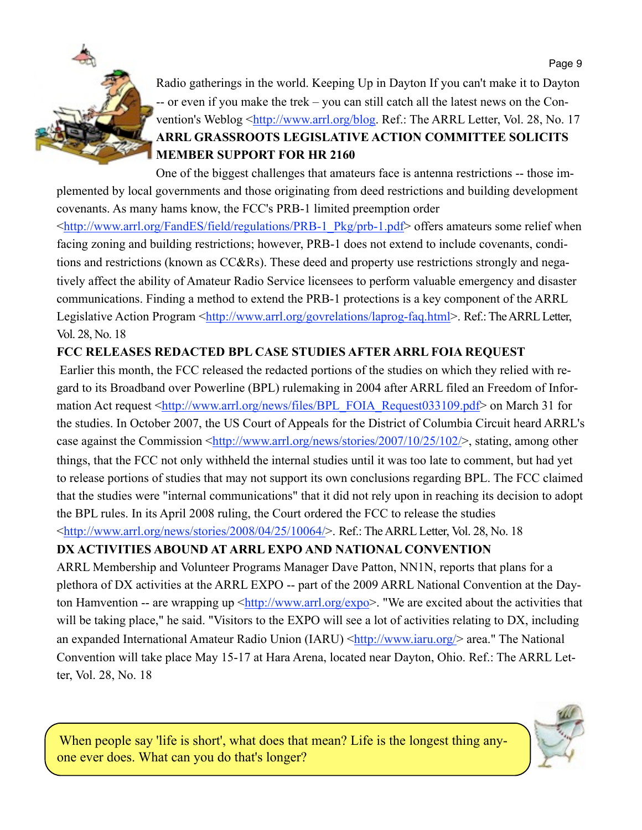

Radio gatherings in the world. Keeping Up in Dayton If you can't make it to Dayton -- or even if you make the trek – you can still catch all the latest news on the Con-vention's Weblog [<http://www.arrl.org/blog](http://www.arrl.org/blog). Ref.: The ARRL Letter, Vol. 28, No. 17 **ARRL GRASSROOTS LEGISLATIVE ACTION COMMITTEE SOLICITS MEMBER SUPPORT FOR HR 2160** 

One of the biggest challenges that amateurs face is antenna restrictions -- those implemented by local governments and those originating from deed restrictions and building development covenants. As many hams know, the FCC's PRB-1 limited preemption order

<[http://www.arrl.org/FandES/field/regulations/PRB-1\\_Pkg/prb-1.pdf](http://www.arrl.org/FandES/field/regulations/PRB-1_Pkg/prb-1.pdf)> offers amateurs some relief when facing zoning and building restrictions; however, PRB-1 does not extend to include covenants, conditions and restrictions (known as CC&Rs). These deed and property use restrictions strongly and negatively affect the ability of Amateur Radio Service licensees to perform valuable emergency and disaster communications. Finding a method to extend the PRB-1 protections is a key component of the ARRL Legislative Action Program [<http://www.arrl.org/govrelations/laprog-faq.html>](http://www.arrl.org/govrelations/laprog-faq.html). Ref.: The ARRL Letter, Vol. 28, No. 18

#### **FCC RELEASES REDACTED BPL CASE STUDIES AFTER ARRL FOIA REQUEST**

 Earlier this month, the FCC released the redacted portions of the studies on which they relied with regard to its Broadband over Powerline (BPL) rulemaking in 2004 after ARRL filed an Freedom of Infor-mation Act request [<http://www.arrl.org/news/files/BPL\\_FOIA\\_Request033109.pdf>](http://www.arrl.org/news/files/BPL_FOIA_Request033109.pdf) on March 31 for the studies. In October 2007, the US Court of Appeals for the District of Columbia Circuit heard ARRL's case against the Commission <<http://www.arrl.org/news/stories/2007/10/25/102/>>, stating, among other things, that the FCC not only withheld the internal studies until it was too late to comment, but had yet to release portions of studies that may not support its own conclusions regarding BPL. The FCC claimed that the studies were "internal communications" that it did not rely upon in reaching its decision to adopt the BPL rules. In its April 2008 ruling, the Court ordered the FCC to release the studies <<http://www.arrl.org/news/stories/2008/04/25/10064/>>. Ref.: TheARRLLetter, Vol. 28, No. 18

#### **DX ACTIVITIES ABOUND AT ARRL EXPO AND NATIONAL CONVENTION**

ARRL Membership and Volunteer Programs Manager Dave Patton, NN1N, reports that plans for a plethora of DX activities at the ARRL EXPO -- part of the 2009 ARRL National Convention at the Dayton Hamvention -- are wrapping up  $\frac{\text{http://www.arrl.org/expo>}}{\text{http://www.arrl.org/expo>}}$ . "We are excited about the activities that will be taking place," he said. "Visitors to the EXPO will see a lot of activities relating to DX, including an expanded International Amateur Radio Union (IARU) <<http://www.iaru.org/>> area." The National Convention will take place May 15-17 at Hara Arena, located near Dayton, Ohio. Ref.: The ARRL Letter, Vol. 28, No. 18

When people say 'life is short', what does that mean? Life is the longest thing anyone ever does. What can you do that's longer?

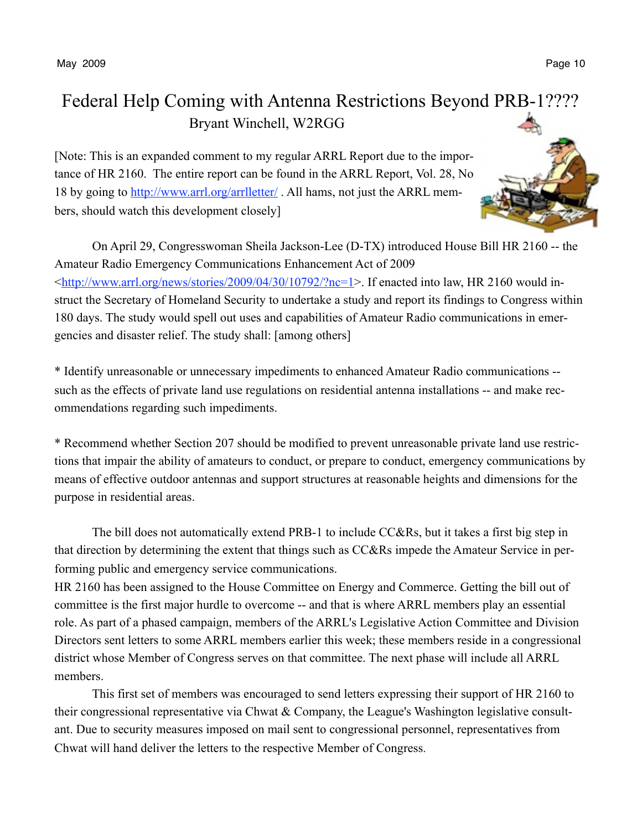May 2009 Page 10

### Federal Help Coming with Antenna Restrictions Beyond PRB-1???? Bryant Winchell, W2RGG

[Note: This is an expanded comment to my regular ARRL Report due to the importance of HR 2160. The entire report can be found in the ARRL Report, Vol. 28, No 18 by going to<http://www.arrl.org/arrlletter/>. All hams, not just the ARRL members, should watch this development closely]



\* Identify unreasonable or unnecessary impediments to enhanced Amateur Radio communications - such as the effects of private land use regulations on residential antenna installations -- and make recommendations regarding such impediments.

\* Recommend whether Section 207 should be modified to prevent unreasonable private land use restrictions that impair the ability of amateurs to conduct, or prepare to conduct, emergency communications by means of effective outdoor antennas and support structures at reasonable heights and dimensions for the purpose in residential areas.

The bill does not automatically extend PRB-1 to include CC&Rs, but it takes a first big step in that direction by determining the extent that things such as CC&Rs impede the Amateur Service in performing public and emergency service communications.

HR 2160 has been assigned to the House Committee on Energy and Commerce. Getting the bill out of committee is the first major hurdle to overcome -- and that is where ARRL members play an essential role. As part of a phased campaign, members of the ARRL's Legislative Action Committee and Division Directors sent letters to some ARRL members earlier this week; these members reside in a congressional district whose Member of Congress serves on that committee. The next phase will include all ARRL members.

This first set of members was encouraged to send letters expressing their support of HR 2160 to their congressional representative via Chwat & Company, the League's Washington legislative consultant. Due to security measures imposed on mail sent to congressional personnel, representatives from Chwat will hand deliver the letters to the respective Member of Congress.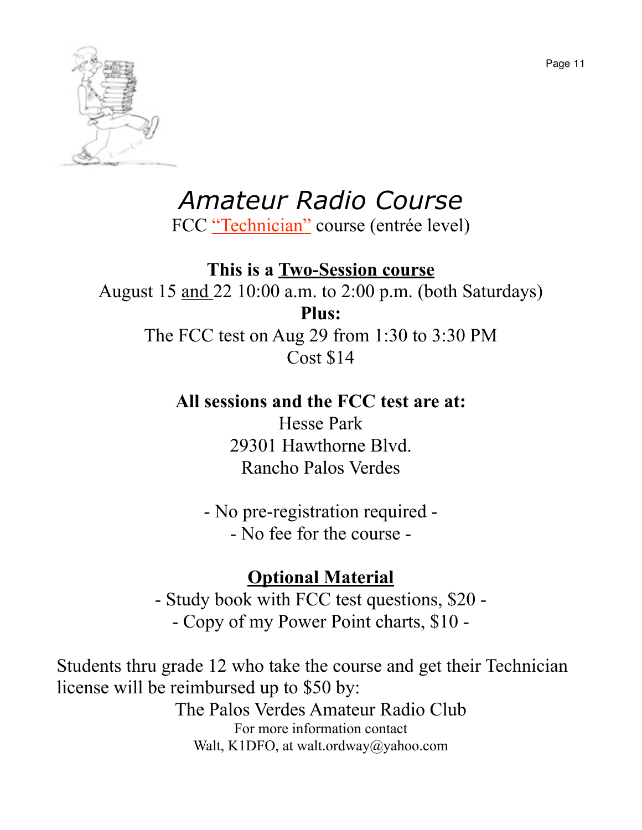

# *Amateur Radio Course*

FCC "Technician" course (entrée level)

### **This is a Two-Session course**

August 15 and 22 10:00 a.m. to 2:00 p.m. (both Saturdays) **Plus:**

The FCC test on Aug 29 from 1:30 to 3:30 PM Cost \$14

### **All sessions and the FCC test are at:**

Hesse Park 29301 Hawthorne Blvd. Rancho Palos Verdes

- No pre-registration required - - No fee for the course -

### **Optional Material**

- Study book with FCC test questions, \$20 - - Copy of my Power Point charts, \$10 -

Students thru grade 12 who take the course and get their Technician license will be reimbursed up to \$50 by: The Palos Verdes Amateur Radio Club For more information contact Walt, K1DFO, at walt.ordway@yahoo.com